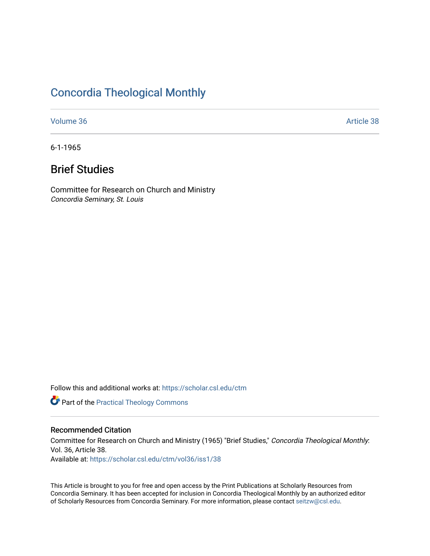## [Concordia Theological Monthly](https://scholar.csl.edu/ctm)

[Volume 36](https://scholar.csl.edu/ctm/vol36) [Article 38](https://scholar.csl.edu/ctm/vol36/iss1/38) Article 38 Article 38 Article 38 Article 38 Article 38 Article 38

6-1-1965

# Brief Studies

Committee for Research on Church and Ministry Concordia Seminary, St. Louis

Follow this and additional works at: [https://scholar.csl.edu/ctm](https://scholar.csl.edu/ctm?utm_source=scholar.csl.edu%2Fctm%2Fvol36%2Fiss1%2F38&utm_medium=PDF&utm_campaign=PDFCoverPages)

**Part of the [Practical Theology Commons](https://network.bepress.com/hgg/discipline/1186?utm_source=scholar.csl.edu%2Fctm%2Fvol36%2Fiss1%2F38&utm_medium=PDF&utm_campaign=PDFCoverPages)** 

### Recommended Citation

Committee for Research on Church and Ministry (1965) "Brief Studies," Concordia Theological Monthly: Vol. 36, Article 38. Available at: [https://scholar.csl.edu/ctm/vol36/iss1/38](https://scholar.csl.edu/ctm/vol36/iss1/38?utm_source=scholar.csl.edu%2Fctm%2Fvol36%2Fiss1%2F38&utm_medium=PDF&utm_campaign=PDFCoverPages) 

This Article is brought to you for free and open access by the Print Publications at Scholarly Resources from Concordia Seminary. It has been accepted for inclusion in Concordia Theological Monthly by an authorized editor of Scholarly Resources from Concordia Seminary. For more information, please contact [seitzw@csl.edu](mailto:seitzw@csl.edu).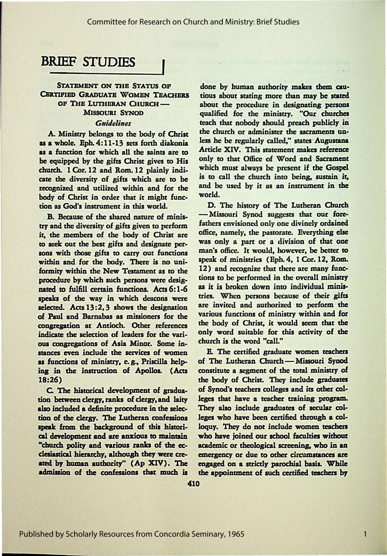## **BRIEF STUDIES**

# STATEMENT ON THE STATUS OF done by human authority makes them cau-<br>CERTIFIED GRADUATE WOMEN TEACHERS tious about stating more than may be stated

**us a whole.** Eph. 4:11-13 sets forth diakonia less he be regularly called," states Augustana <br> **Article XIV.** This statement makes reference **us a function for which all the saints are to** Article XIV. This statement makes reference the continued by the offer Christ gives to His only to that Office of Word and Sacrament be equipped by the gifts Christ gives to His only to that Office of Word and Sacrament<br>church 1 Cor 12 and Born 12 plainly indi-<br>which must always be present if the Gospel church. 1 Cor. 12 and Rom. 12 plainly indi-<br>cate the diversity of gifts which are to be is to call the church into being, sustain it, cate the diversity of gifts which are to be is to call the church into being, sustain it,<br>recognized and utilized within and for the and be used by it as an instrument in the recognized and utilized within and for the and by body of Chriss in order that is might fuse . world. body of Christ in order that it might func-

**try and the diversity of gifts given to perform** fathers envisioned only one divinely ordained<br>it the members of the body of Chrise are office, namely, the pastorate. Everything else it, the members of the body of Christ are office, namely, the pastorate. Everything else to seek out the best gifts and designate per-<br>see with shore eifer to carry our functions man's office. It would, however, be better to sons with those gifts to carry out functions man's office. It would, however, be better to miskin and for the body. There is no uni speak of ministries (Eph. 4, 1 Cor. 12, Rom. within and for the body. There is no uni-<br>forming within the New Testament as to the 12) and recognize that there are many funcformity within the New Testament as to the  $12$ ) and recognize that there are many func-<br>according by which such persons were designed to be performed in the overall ministry procedure by which such persons were desig-<br>neted to fulfill certain functions. Acts 6.1.6 as it is broken down into individual minisnated to fulfill certain functions. Acts 6:1-6 as it is broken down into individual minis-<br>speaks of the way in which descons were tries. When persons because of their gifts speaks of the way in which deacons were tries. When persons because of their gifts selected  $\text{Area}$  are invited and authorized to perform the selected. Acts 13:2, 3 shows the designation are invited and authorized to perform the<br>of Paul and Basnabas as missioners for the various functions of ministry within and for of Paul and Barnabas as missioners for the various functions of ministry within and for<br>congregation at Antioch. Other references the body of Christ, it would seem that the congregation at Antioch. Other references the body of Christ, it would seem that the indicate the selection of leaders for the uses. only word suitable for this activity of the indicate the selection of leaders for the vari-<br>
only word suitable for the selection of Acia Minor. Some in church is the word "call." ous congregations of Asia Minor. Some in**stances even** include the **services** of women E. The certified graduate women teachers as functions of ministry, e.g., Priscilla help-<br>
ing in the instruction of Apollos. (Acts constitute a segment of the total ministry of ing in the instruction of Apollos. (Acts

tion between clergy, ranks of clergy, and laity leges that have a teacher training program.<br>also included a definite procedure in the selec-<br>They also include graduates of secular colalso included a definite procedure in the selection of the clergy. The Lutheran confessions leges who have been certified through a colspeak from the background of this histori- loquy. They do not include women *teachers* cal development and are anxious *to* maintain who have joined our school faculties without "church polity and various ranks of the ec- academic or theological screening, who in an clesiastical hierarchy, although they were cre- emergency or due to other circumstances are ated by human authority" (Ap XIV). The engaged on a strictly parochial basis. While

TFIED GRADUATE WOMEN TEACHERS tious about stating more than may be stated of THE LUTHERAN CHURCH — shout the procedure in designating persons EXA CHURCH - about the procedure in designating persons<br>MISSOURI SYNOD qualified for the ministry. "Our churches *Guidelines* **teach that nobody should preach publicly in change** that **the church** or administer the sacraments un-A. Ministry belongs to the body of Christ the church or administer the sacraments un-<br>a whole. Fob  $A:11.13$  sets forth dialogie. less he be regularly called," states Augustana

tion as God's instrument in this world. D. The history of The Lutheran Church<br>B. Because of the charad nature of minis — Missouri Synod suggests that our fore-B. Because of the shared nature of minis-<br>and the diversity of gifts given to perform fathers envisioned only one divinely ordained

18:26) the body of Christ. They include graduates C. The historical development of gradua-<br>In between clergy, ranks of clergy, and laity leges that have a teacher training program. admission of the confessions that much is the appointment of such certified teachers by

1